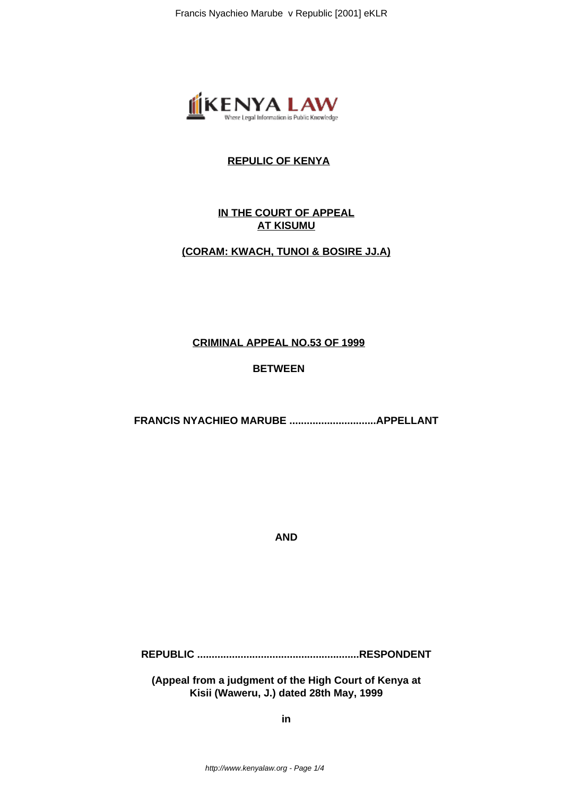

# **REPULIC OF KENYA**

# **IN THE COURT OF APPEAL AT KISUMU**

## **(CORAM: KWACH, TUNOI & BOSIRE JJ.A)**

#### **CRIMINAL APPEAL NO.53 OF 1999**

# **BETWEEN**

**FRANCIS NYACHIEO MARUBE ..............................APPELLANT**

**AND**

**REPUBLIC ........................................................RESPONDENT**

**(Appeal from a judgment of the High Court of Kenya at Kisii (Waweru, J.) dated 28th May, 1999**

**in**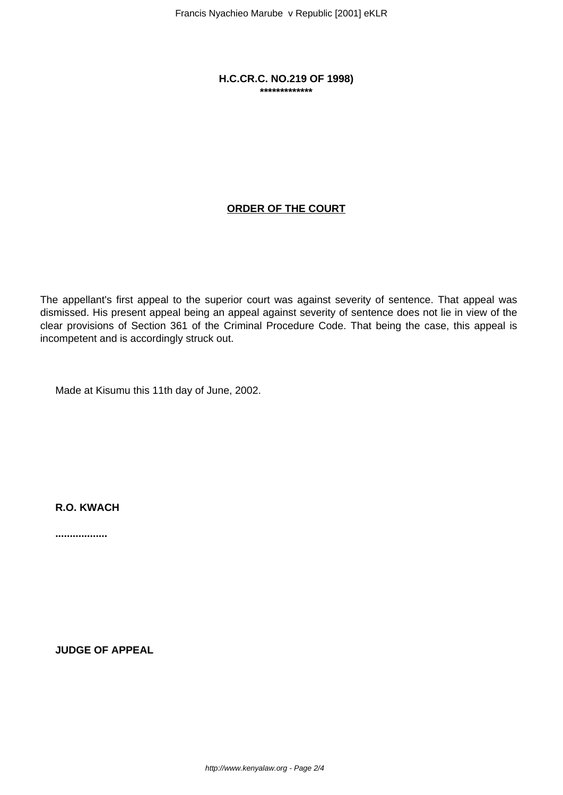**H.C.CR.C. NO.219 OF 1998) \*\*\*\*\*\*\*\*\*\*\*\*\***

# **ORDER OF THE COURT**

The appellant's first appeal to the superior court was against severity of sentence. That appeal was dismissed. His present appeal being an appeal against severity of sentence does not lie in view of the clear provisions of Section 361 of the Criminal Procedure Code. That being the case, this appeal is incompetent and is accordingly struck out.

Made at Kisumu this 11th day of June, 2002.

**R.O. KWACH**

**..................**

**JUDGE OF APPEAL**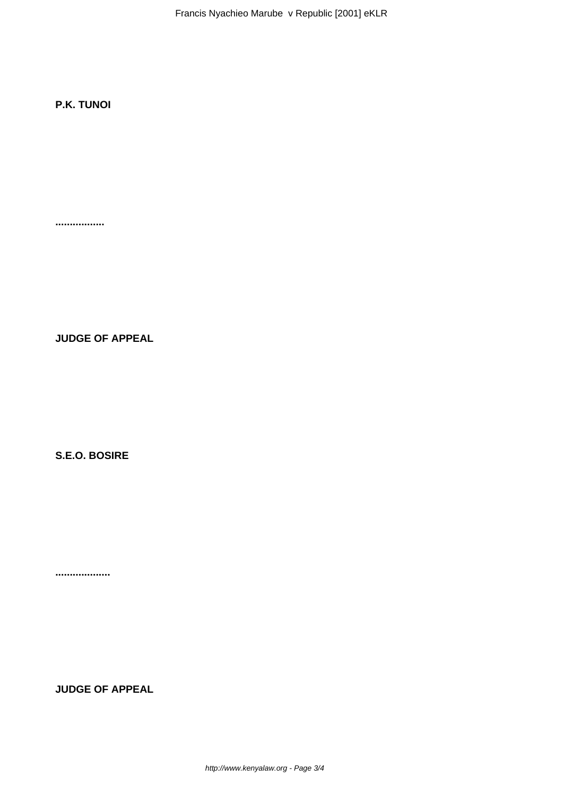Francis Nyachieo Marube v Republic [2001] eKLR

# **P.K. TUNOI**

**.................**

**JUDGE OF APPEAL**

**S.E.O. BOSIRE**

**...................**

**JUDGE OF APPEAL**